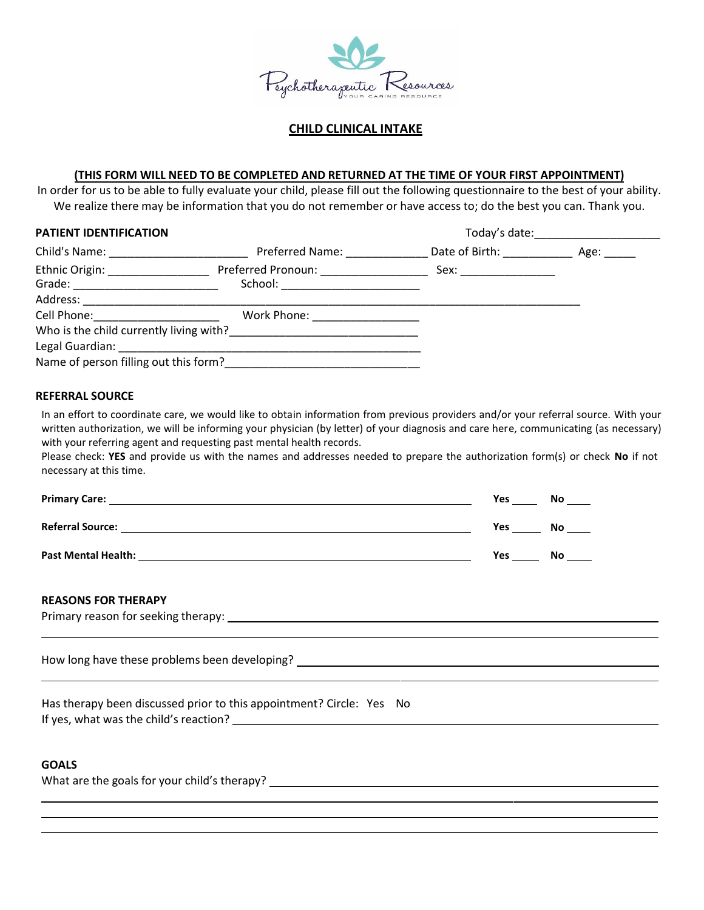

## **CHILD CLINICAL INTAKE**

#### **(THIS FORM WILL NEED TO BE COMPLETED AND RETURNED AT THE TIME OF YOUR FIRST APPOINTMENT)**

In order for us to be able to fully evaluate your child, please fill out the following questionnaire to the best of your ability. We realize there may be information that you do not remember or have access to; do the best you can. Thank you.

| PATIENT IDENTIFICATION                                                                                                                                                                                                         |                                                                     | Today's date: _______________________ |                      |  |
|--------------------------------------------------------------------------------------------------------------------------------------------------------------------------------------------------------------------------------|---------------------------------------------------------------------|---------------------------------------|----------------------|--|
| Child's Name: The Child of South States and States and States and States and States and States and States and States and States and States and States and States and States and States and States and States and States and St |                                                                     | Preferred Name: Date of Birth:        | Age: $\qquad \qquad$ |  |
| Ethnic Origin: ________________                                                                                                                                                                                                | Preferred Pronoun: _____________<br>School: _______________________ | Sex: _________________                |                      |  |
| Address: _________________________                                                                                                                                                                                             | <u> 1990 - Johann John Stein, markin f</u>                          |                                       |                      |  |
| Cell Phone: Cell Phone:                                                                                                                                                                                                        | Work Phone: __________________                                      |                                       |                      |  |
|                                                                                                                                                                                                                                |                                                                     |                                       |                      |  |
|                                                                                                                                                                                                                                |                                                                     |                                       |                      |  |
|                                                                                                                                                                                                                                | Name of person filling out this form?                               |                                       |                      |  |

#### **REFERRAL SOURCE**

In an effort to coordinate care, we would like to obtain information from previous providers and/or your referral source. With your written authorization, we will be informing your physician (by letter) of your diagnosis and care here, communicating (as necessary) with your referring agent and requesting past mental health records.

Please check: **YES** and provide us with the names and addresses needed to prepare the authorization form(s) or check **No** if not necessary at this time.

| <b>Primary Care:</b>       | Yes        | No  |
|----------------------------|------------|-----|
| <b>Referral Source:</b>    | Yes        | No  |
| <b>Past Mental Health:</b> | <b>Yes</b> | No. |

#### **REASONS FOR THERAPY**

Primary reason for seeking therapy:

How long have these problems been developing?

Has therapy been discussed prior to this appointment? Circle: Yes No If yes, what was the child's reaction?

# **GOALS**

What are the goals for your child's therapy?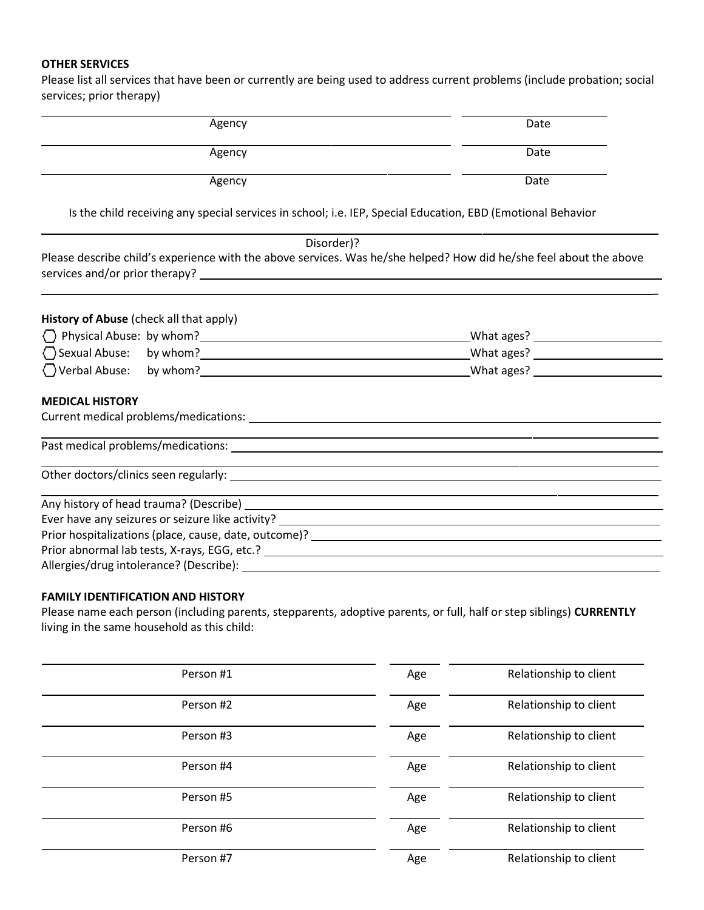### **OTHER SERVICES**

Please list all services that have been or currently are being used to address current problems (include probation; social services; prior therapy)

| Agency                                  | Date                                                                                                                  |
|-----------------------------------------|-----------------------------------------------------------------------------------------------------------------------|
| Agency                                  | Date                                                                                                                  |
| Agency                                  | Date                                                                                                                  |
|                                         | Is the child receiving any special services in school; i.e. IEP, Special Education, EBD (Emotional Behavior           |
|                                         | Disorder)?                                                                                                            |
|                                         | Please describe child's experience with the above services. Was he/she helped? How did he/she feel about the above    |
| History of Abuse (check all that apply) |                                                                                                                       |
|                                         |                                                                                                                       |
|                                         |                                                                                                                       |
|                                         |                                                                                                                       |
| <b>MEDICAL HISTORY</b>                  |                                                                                                                       |
|                                         |                                                                                                                       |
|                                         |                                                                                                                       |
|                                         | <u> 1989 - Jan Barat, margaret amerikan bahasa di sebagai bahasa di sebagai bahasa di sebagai bahasa di sebagai b</u> |
|                                         | <u> 1989 - Andrea Santa Andrea Andrea Andrea Andrea Andrea Andrea Andrea Andrea Andrea Andrea Andrea Andrea Andr</u>  |
|                                         |                                                                                                                       |
|                                         |                                                                                                                       |
|                                         |                                                                                                                       |
| Allergies/drug intolerance? (Describe): |                                                                                                                       |

# **FAMILY IDENTIFICATION AND HISTORY**

Please name each person (including parents, stepparents, adoptive parents, or full, half orstep siblings) **CURRENTLY** living in the same household as this child:

| Person #1 | Age | Relationship to client |
|-----------|-----|------------------------|
| Person #2 | Age | Relationship to client |
| Person #3 | Age | Relationship to client |
| Person #4 | Age | Relationship to client |
| Person #5 | Age | Relationship to client |
| Person #6 | Age | Relationship to client |
| Person #7 | Age | Relationship to client |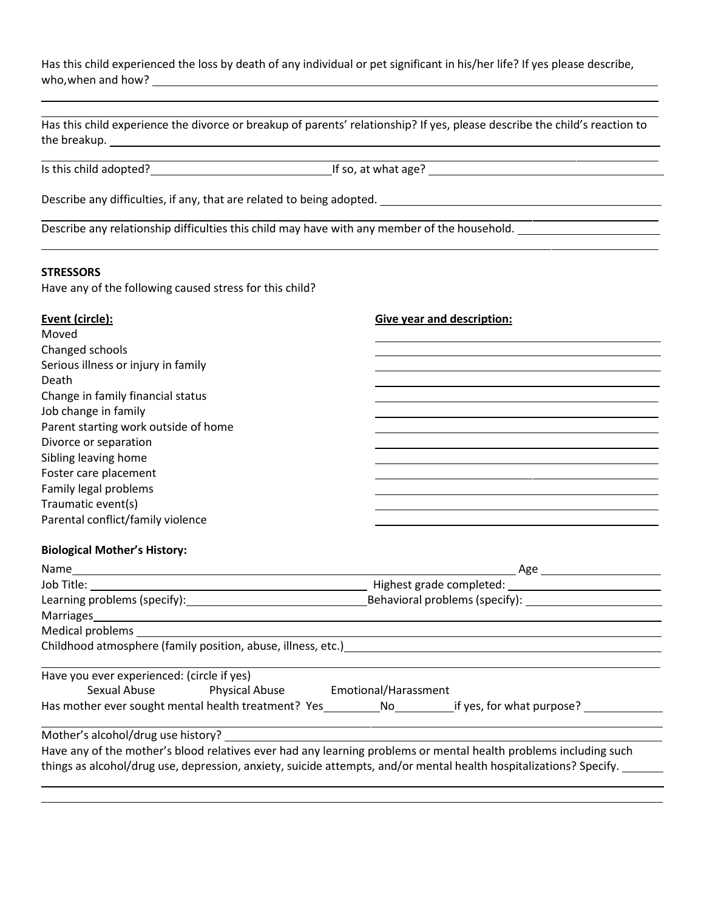Has this child experienced the loss by death of any individual or pet significant in his/her life? If yes please describe, who, when and how?

| Has this child experience the divorce or breakup of parents' relationship? If yes, please describe the child's reaction to<br>the breakup. The contract of the contract of the contract of the contract of the contract of the contract of the contract of the contract of the contract of the contract of the contract of the contract of the contract of t |                                                                                                                                                                                                                               |
|--------------------------------------------------------------------------------------------------------------------------------------------------------------------------------------------------------------------------------------------------------------------------------------------------------------------------------------------------------------|-------------------------------------------------------------------------------------------------------------------------------------------------------------------------------------------------------------------------------|
| Is this child adopted?<br>If so, at what age?<br>1992.<br>If so, at what age?                                                                                                                                                                                                                                                                                |                                                                                                                                                                                                                               |
|                                                                                                                                                                                                                                                                                                                                                              |                                                                                                                                                                                                                               |
| Describe any relationship difficulties this child may have with any member of the household.                                                                                                                                                                                                                                                                 |                                                                                                                                                                                                                               |
| <b>STRESSORS</b>                                                                                                                                                                                                                                                                                                                                             |                                                                                                                                                                                                                               |
| Have any of the following caused stress for this child?                                                                                                                                                                                                                                                                                                      |                                                                                                                                                                                                                               |
| Event (circle):<br>Moved                                                                                                                                                                                                                                                                                                                                     | <b>Give year and description:</b>                                                                                                                                                                                             |
| Changed schools                                                                                                                                                                                                                                                                                                                                              |                                                                                                                                                                                                                               |
| Serious illness or injury in family                                                                                                                                                                                                                                                                                                                          |                                                                                                                                                                                                                               |
| Death                                                                                                                                                                                                                                                                                                                                                        |                                                                                                                                                                                                                               |
| Change in family financial status                                                                                                                                                                                                                                                                                                                            |                                                                                                                                                                                                                               |
| Job change in family                                                                                                                                                                                                                                                                                                                                         |                                                                                                                                                                                                                               |
| Parent starting work outside of home                                                                                                                                                                                                                                                                                                                         |                                                                                                                                                                                                                               |
| Divorce or separation                                                                                                                                                                                                                                                                                                                                        |                                                                                                                                                                                                                               |
| Sibling leaving home<br>Foster care placement                                                                                                                                                                                                                                                                                                                |                                                                                                                                                                                                                               |
| Family legal problems                                                                                                                                                                                                                                                                                                                                        |                                                                                                                                                                                                                               |
| Traumatic event(s)                                                                                                                                                                                                                                                                                                                                           | the control of the control of the control of the control of the control of the control of the control of the control of the control of the control of the control of the control of the control of the control of the control |
| Parental conflict/family violence                                                                                                                                                                                                                                                                                                                            | the control of the control of the control of the control of the control of the control of the control of the control of the control of the control of the control of the control of the control of the control of the control |
| <b>Biological Mother's History:</b>                                                                                                                                                                                                                                                                                                                          |                                                                                                                                                                                                                               |
|                                                                                                                                                                                                                                                                                                                                                              |                                                                                                                                                                                                                               |
| Job Title: The State of The State of The State of The State of The State of The State of The State o                                                                                                                                                                                                                                                         |                                                                                                                                                                                                                               |
|                                                                                                                                                                                                                                                                                                                                                              |                                                                                                                                                                                                                               |
| Marriages and the contract of the contract of the contract of the contract of the contract of the contract of                                                                                                                                                                                                                                                |                                                                                                                                                                                                                               |
| Medical problems                                                                                                                                                                                                                                                                                                                                             |                                                                                                                                                                                                                               |
| Childhood atmosphere (family position, abuse, illness, etc.)                                                                                                                                                                                                                                                                                                 |                                                                                                                                                                                                                               |
| Have you ever experienced: (circle if yes)                                                                                                                                                                                                                                                                                                                   |                                                                                                                                                                                                                               |
| Sexual Abuse<br><b>Physical Abuse</b>                                                                                                                                                                                                                                                                                                                        | Emotional/Harassment                                                                                                                                                                                                          |
| Has mother ever sought mental health treatment? Yes___________No___________if yes, for what purpose? _____                                                                                                                                                                                                                                                   |                                                                                                                                                                                                                               |
| Mother's alcohol/drug use history?                                                                                                                                                                                                                                                                                                                           |                                                                                                                                                                                                                               |
| Have any of the mother's blood relatives ever had any learning problems or mental health problems including such                                                                                                                                                                                                                                             |                                                                                                                                                                                                                               |
| things as alcohol/drug use, depression, anxiety, suicide attempts, and/or mental health hospitalizations? Specify.                                                                                                                                                                                                                                           |                                                                                                                                                                                                                               |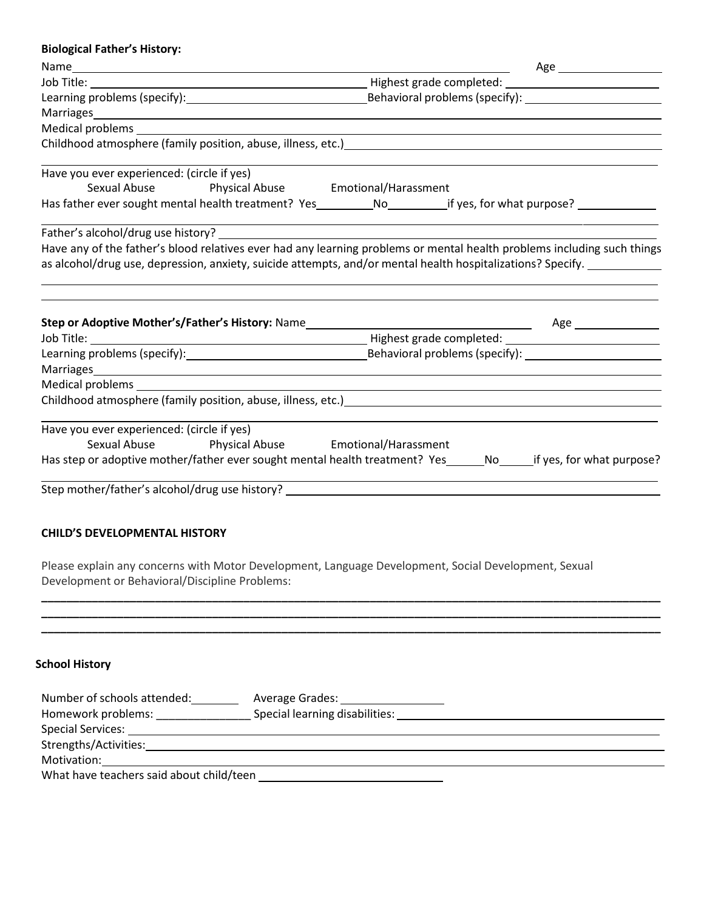| <b>Biological Father's History:</b>            |                                                                                                                                                                                                                                |  |  |
|------------------------------------------------|--------------------------------------------------------------------------------------------------------------------------------------------------------------------------------------------------------------------------------|--|--|
|                                                | Age __________________________                                                                                                                                                                                                 |  |  |
|                                                |                                                                                                                                                                                                                                |  |  |
|                                                |                                                                                                                                                                                                                                |  |  |
|                                                | Marriages Management and Communication of the Communication of the Communication of the Communication of the Communication of the Communication of the Communication of the Communication of the Communication of the Communic |  |  |
|                                                | Medical problems and the contract of the contract of the contract of the contract of the contract of the contract of the contract of the contract of the contract of the contract of the contract of the contract of the contr |  |  |
|                                                | Childhood atmosphere (family position, abuse, illness, etc.) example and the state of the state of the state of                                                                                                                |  |  |
| Have you ever experienced: (circle if yes)     | Sexual Abuse <b>Physical Abuse Emotional/Harassment</b>                                                                                                                                                                        |  |  |
|                                                | Has father ever sought mental health treatment? Yes___________No____________if yes, for what purpose? __________                                                                                                               |  |  |
|                                                |                                                                                                                                                                                                                                |  |  |
|                                                | Have any of the father's blood relatives ever had any learning problems or mental health problems including such things                                                                                                        |  |  |
|                                                | as alcohol/drug use, depression, anxiety, suicide attempts, and/or mental health hospitalizations? Specify. ________                                                                                                           |  |  |
|                                                |                                                                                                                                                                                                                                |  |  |
|                                                |                                                                                                                                                                                                                                |  |  |
|                                                |                                                                                                                                                                                                                                |  |  |
| Marriages                                      | <u> 1989 - Johann Stein, fransk politik (d. 1989)</u>                                                                                                                                                                          |  |  |
|                                                |                                                                                                                                                                                                                                |  |  |
|                                                |                                                                                                                                                                                                                                |  |  |
| Have you ever experienced: (circle if yes)     |                                                                                                                                                                                                                                |  |  |
|                                                | Sexual Abuse <b>Physical Abuse Emotional/Harassment</b>                                                                                                                                                                        |  |  |
|                                                | Has step or adoptive mother/father ever sought mental health treatment? Yes _______________________if yes, for what purpose?                                                                                                   |  |  |
|                                                |                                                                                                                                                                                                                                |  |  |
| <b>CHILD'S DEVELOPMENTAL HISTORY</b>           |                                                                                                                                                                                                                                |  |  |
| Development or Behavioral/Discipline Problems: | Please explain any concerns with Motor Development, Language Development, Social Development, Sexual                                                                                                                           |  |  |
|                                                |                                                                                                                                                                                                                                |  |  |
| <b>School History</b>                          |                                                                                                                                                                                                                                |  |  |
|                                                | Number of schools attended: ___________ Average Grades: ________________________                                                                                                                                               |  |  |
|                                                | Homework problems: _________________________Special learning disabilities: ___________________________________                                                                                                                 |  |  |
|                                                |                                                                                                                                                                                                                                |  |  |

Motivation: What have teachers said about child/teen

Strengths/Activities: